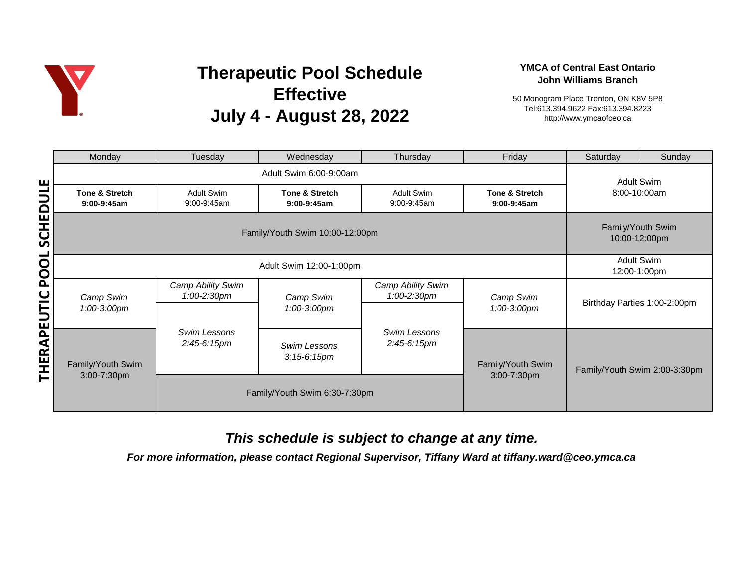

# **Therapeutic Pool Schedule Effective July 4 - August 28, 2022**

#### **YMCA of Central East Ontario John Williams Branch**

50 Monogram Place Trenton, ON K8V 5P8 Tel:613.394.9622 Fax:613.394.8223 http://www.ymcaofceo.ca

|                                  | Monday                           | Tuesday                            | Wednesday                                  | Thursday                         | Friday                           | Saturday                      | Sunday                            |  |
|----------------------------------|----------------------------------|------------------------------------|--------------------------------------------|----------------------------------|----------------------------------|-------------------------------|-----------------------------------|--|
|                                  | Adult Swim 6:00-9:00am           |                                    |                                            |                                  |                                  |                               | <b>Adult Swim</b>                 |  |
|                                  | Tone & Stretch<br>$9:00-9:45am$  | <b>Adult Swim</b><br>9:00-9:45am   | <b>Tone &amp; Stretch</b><br>$9:00-9:45am$ | <b>Adult Swim</b><br>9:00-9:45am | Tone & Stretch<br>$9:00-9:45am$  | 8:00-10:00am                  |                                   |  |
| SCHEDULE                         |                                  | Family/Youth Swim<br>10:00-12:00pm |                                            |                                  |                                  |                               |                                   |  |
| ರ<br>Q<br>EUTIC<br><b>THERAP</b> | Adult Swim 12:00-1:00pm          |                                    |                                            |                                  |                                  |                               | <b>Adult Swim</b><br>12:00-1:00pm |  |
|                                  | Camp Swim<br>1:00-3:00pm         | Camp Ability Swim<br>1:00-2:30pm   | Camp Swim<br>1:00-3:00pm                   | Camp Ability Swim<br>1:00-2:30pm | Camp Swim<br>1:00-3:00pm         | Birthday Parties 1:00-2:00pm  |                                   |  |
|                                  |                                  | Swim Lessons<br>$2:45-6:15pm$      |                                            | Swim Lessons<br>$2:45-6:15pm$    |                                  |                               |                                   |  |
|                                  | Family/Youth Swim<br>3:00-7:30pm |                                    | Swim Lessons<br>$3:15-6:15$ pm             |                                  | Family/Youth Swim<br>3:00-7:30pm | Family/Youth Swim 2:00-3:30pm |                                   |  |
|                                  |                                  | Family/Youth Swim 6:30-7:30pm      |                                            |                                  |                                  |                               |                                   |  |

## *This schedule is subject to change at any time.*

*For more information, please contact Regional Supervisor, Tiffany Ward at tiffany.ward@ceo.ymca.ca*